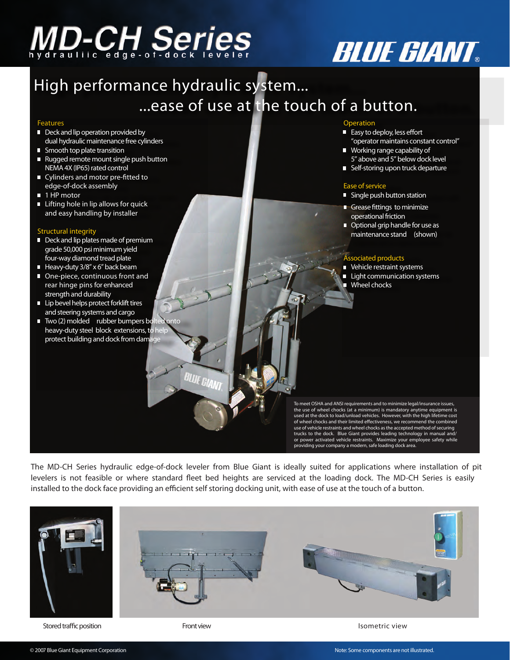# **ID-CH Series**

### High performance hydraulic system... ...ease of use at the touch of a button.

#### Features

- Deck and lip operation provided by dual hydraulic maintenance free cylinders
- Smooth top plate transition
- Rugged remote mount single push button NEMA 4X (IP65) rated control
- **Cylinders and motor pre-fitted to** edge-of-dock assembly
- **1 HP motor**
- $\blacksquare$  Lifting hole in lip allows for quick and easy handling by installer

#### Structural integrity

- Deck and lip plates made of premium grade 50,000 psi minimum yield four-way diamond tread plate
- Heavy-duty 3/8" x 6" back beam
- One-piece, continuous front and rear hinge pins for enhanced strength and durability
- **Lip bevel helps protect forklift tires** and steering systems and cargo
- Two (2) molded rubber bumpers bo heavy-duty steel block extensions, to h protect building and dock from damage

#### Operation

 $\blacksquare$  Easy to deploy, less effort "operator maintains constant control"

**BLUE GIANT** 

- Working range capability of 5" above and 5" below dock level
- **Self-storing upon truck departure**

#### Ease of service

- Single push button station
- Grease fittings to minimize operational friction
- Optional grip handle for use as maintenance stand *(shown)*

#### Associated products

- **Vehicle restraint systems**
- **Light communication systems**
- Wheel chocks

To meet OSHA and ANSI requirements and to minimize legal/insurance issues, the use of wheel chocks (at a minimum) is mandatory anytime equipment is used at the dock to load/unload vehicles. However, with the high lifetime cost of wheel chocks and their limited effectiveness, we recommend the combined<br>use of vehicle restraints and wheel chocks as the accepted method of securing trucks to the dock. Blue Giant provides leading technology in manual and/ or power activated vehicle restraints. Maximize your employee safety while providing your company a modern, safe loading dock area.

The MD-CH Series hydraulic edge-of-dock leveler from Blue Giant is ideally suited for applications where installation of pit levelers is not feasible or where standard fleet bed heights are serviced at the loading dock. The MD-CH Series is easily installed to the dock face providing an efficient self storing docking unit, with ease of use at the touch of a button.



Stored traffic position Theorem 2008 Stored traffic position Front view Isometric view Isometric view

**BLUE GIANT**